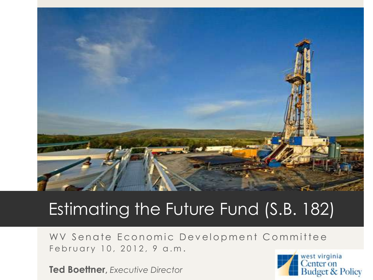

### Estimating the Future Fund (S.B. 182)

WV Senate Economic Development Committee February 10, 2012, 9 a.m.

**Ted Boettner,** *Executive Director*

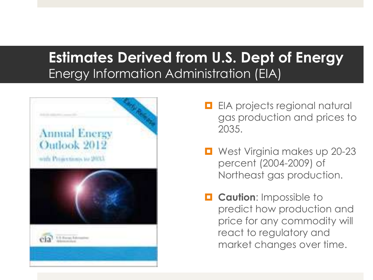#### **Estimates Derived from U.S. Dept of Energy**  Energy Information Administration (EIA)



- **EIA** projects regional natural gas production and prices to 2035.
- West Virginia makes up 20-23 percent (2004-2009) of Northeast gas production.
- **L** Caution: Impossible to predict how production and price for any commodity will react to regulatory and market changes over time.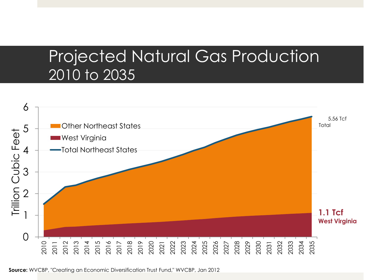### Projected Natural Gas Production 2010 to 2035

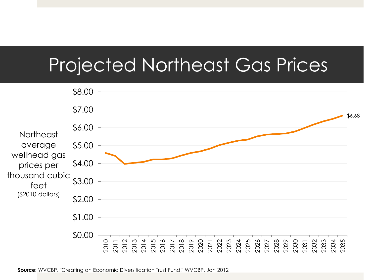# Projected Northeast Gas Prices

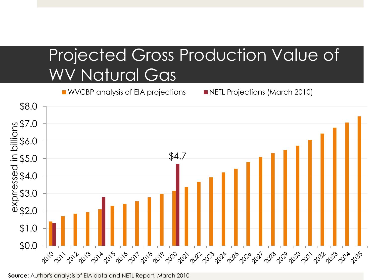### Projected Gross Production Value of WV Natural Gas

■ WVCBP analysis of EIA projections ■ NETL Projections (March 2010)



**Source:** Author's analysis of EIA data and NETL Report, March 2010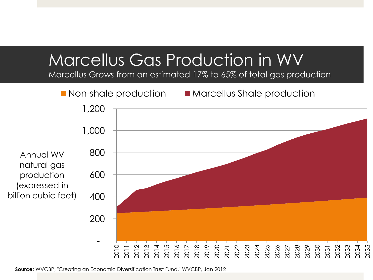### Marcellus Gas Production in WV

Marcellus Grows from an estimated 17% to 65% of total gas production

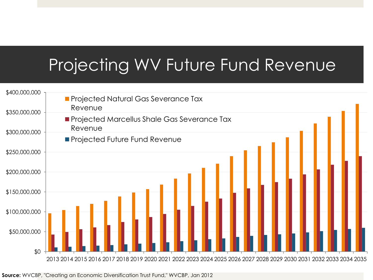### Projecting WV Future Fund Revenue

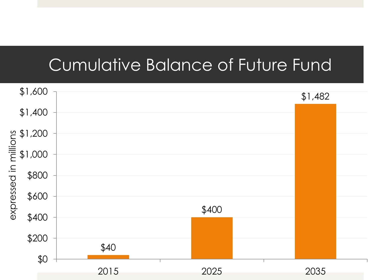### Cumulative Balance of Future Fund

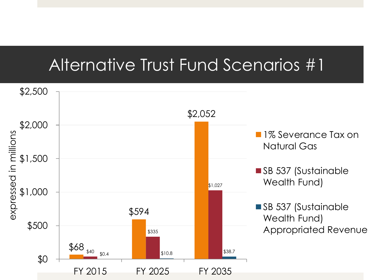### Alternative Trust Fund Scenarios #1

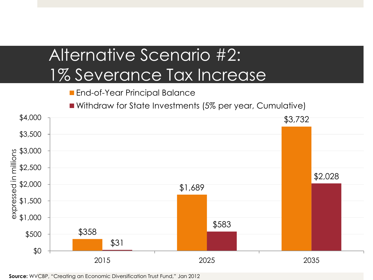### Alternative Scenario #2: 1% Severance Tax Increase

**End-of-Year Principal Balance** 

Withdraw for State Investments (5% per year, Cumulative)

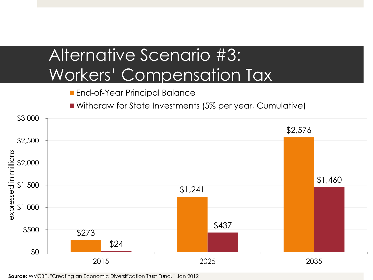# Alternative Scenario #3: Workers' Compensation Tax

**End-of-Year Principal Balance** 

■ Withdraw for State Investments (5% per year, Cumulative)

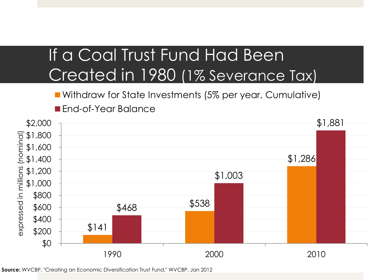## If a Coal Trust Fund Had Been Created in 1980 (1% Severance Tax)

Withdraw for State Investments (5% per year, Cumulative)